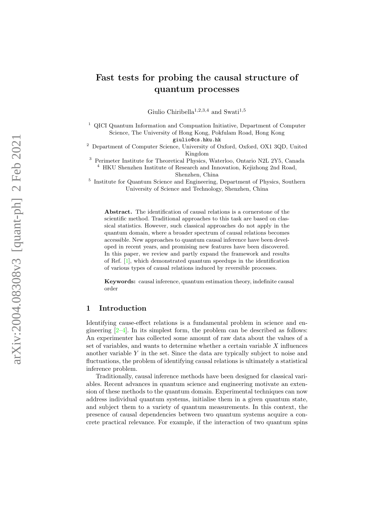# arXiv:2004.08308v3 [quant-ph] 2 Feb 2021 arXiv:2004.08308v3 [quant-ph] 2 Feb 2021

# Fast tests for probing the causal structure of quantum processes

Giulio Chiribella<sup>1,2,3,4</sup> and Swati<sup>1,5</sup>

<sup>1</sup> QICI Quantum Information and Compuation Initiative, Department of Computer Science, The University of Hong Kong, Pokfulam Road, Hong Kong

giulio@cs.hku.hk

<sup>2</sup> Department of Computer Science, University of Oxford, Oxford, OX1 3QD, United Kingdom

<sup>3</sup> Perimeter Institute for Theoretical Physics, Waterloo, Ontario N2L 2Y5, Canada <sup>4</sup> HKU Shenzhen Institute of Research and Innovation, Kejizhong 2nd Road, Shenzhen, China

<sup>5</sup> Institute for Quantum Science and Engineering, Department of Physics, Southern University of Science and Technology, Shenzhen, China

Abstract. The identification of causal relations is a cornerstone of the scientific method. Traditional approaches to this task are based on classical statistics. However, such classical approaches do not apply in the quantum domain, where a broader spectrum of causal relations becomes accessible. New approaches to quantum causal inference have been developed in recent years, and promising new features have been discovered. In this paper, we review and partly expand the framework and results of Ref. [ [1\]](#page-13-0), which demonstrated quantum speedups in the identification of various types of causal relations induced by reversible processes.

Keywords: causal inference, quantum estimation theory, indefinite causal order

# 1 Introduction

Identifying cause-effect relations is a fundamental problem in science and engineering  $[2-4]$  $[2-4]$ . In its simplest form, the problem can be described as follows: An experimenter has collected some amount of raw data about the values of a set of variables, and wants to determine whether a certain variable X influences another variable Y in the set. Since the data are typically subject to noise and fluctuations, the problem of identifying causal relations is ultimately a statistical inference problem.

Traditionally, causal inference methods have been designed for classical variables. Recent advances in quantum science and engineering motivate an extension of these methods to the quantum domain. Experimental techniques can now address individual quantum systems, initialise them in a given quantum state, and subject them to a variety of quantum measurements. In this context, the presence of causal dependencies between two quantum systems acquire a concrete practical relevance. For example, if the interaction of two quantum spins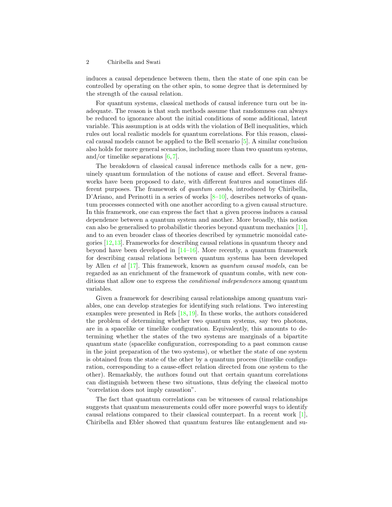induces a causal dependence between them, then the state of one spin can be controlled by operating on the other spin, to some degree that is determined by the strength of the causal relation.

For quantum systems, classical methods of causal inference turn out be inadequate. The reason is that such methods assume that randomness can always be reduced to ignorance about the initial conditions of some additional, latent variable. This assumption is at odds with the violation of Bell inequalities, which rules out local realistic models for quantum correlations. For this reason, classical causal models cannot be applied to the Bell scenario [\[5\]](#page-13-3). A similar conclusion also holds for more general scenarios, including more than two quantum systems, and/or timelike separations  $[6, 7]$  $[6, 7]$  $[6, 7]$ .

The breakdown of classical causal inference methods calls for a new, genuinely quantum formulation of the notions of cause and effect. Several frameworks have been proposed to date, with different features and sometimes different purposes. The framework of quantum combs, introduced by Chiribella, D'Ariano, and Perinotti in a series of works  $[8-10]$  $[8-10]$ , describes networks of quantum processes connected with one another according to a given causal structure. In this framework, one can express the fact that a given process induces a causal dependence between a quantum system and another. More broadly, this notion can also be generalised to probabilistic theories beyond quantum mechanics [\[11\]](#page-14-4), and to an even broader class of theories described by symmetric monoidal categories [\[12,](#page-14-5)[13\]](#page-14-6). Frameworks for describing causal relations in quantum theory and beyond have been developed in  $[14-16]$  $[14-16]$ . More recently, a quantum framework for describing causal relations between quantum systems has been developed by Allen et al [\[17\]](#page-14-9). This framework, known as quantum causal models, can be regarded as an enrichment of the framework of quantum combs, with new conditions that allow one to express the conditional independences among quantum variables.

Given a framework for describing causal relationships among quantum variables, one can develop strategies for identifying such relations. Two interesting examples were presented in Refs  $[18, 19]$  $[18, 19]$  $[18, 19]$ . In these works, the authors considered the problem of determining whether two quantum systems, say two photons, are in a spacelike or timelike configuration. Equivalently, this amounts to determining whether the states of the two systems are marginals of a bipartite quantum state (spacelike configuration, corresponding to a past common cause in the joint preparation of the two systems), or whether the state of one system is obtained from the state of the other by a quantum process (timelike configuration, corresponding to a cause-effect relation directed from one system to the other). Remarkably, the authors found out that certain quantum correlations can distinguish between these two situations, thus defying the classical motto "correlation does not imply causation".

The fact that quantum correlations can be witnesses of causal relationships suggests that quantum measurements could offer more powerful ways to identify causal relations compared to their classical counterpart. In a recent work [\[1\]](#page-13-0), Chiribella and Ebler showed that quantum features like entanglement and su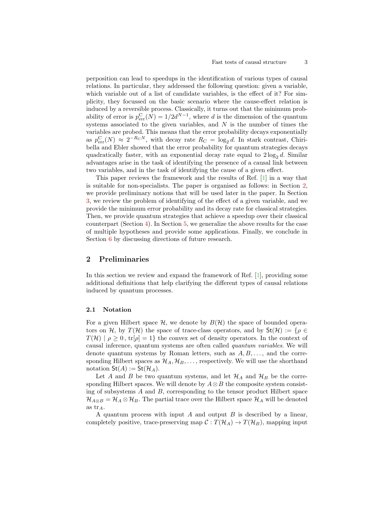perposition can lead to speedups in the identification of various types of causal relations. In particular, they addressed the following question: given a variable, which variable out of a list of candidate variables, is the effect of it? For simplicity, they focussed on the basic scenario where the cause-effect relation is induced by a reversible process. Classically, it turns out that the minimum probability of error is  $p_{\text{err}}^{\text{C}}(N) = 1/2d^{N-1}$ , where d is the dimension of the quantum systems associated to the given variables, and  $N$  is the number of times the variables are probed. This means that the error probability decays exponentially as  $p_{\text{err}}^{\text{C}}(N) \approx 2^{-R_{\text{C}}N}$ , with decay rate  $R_{\text{C}} = \log_2 d$ . In stark contrast, Chiribella and Ebler showed that the error probability for quantum strategies decays quadratically faster, with an exponential decay rate equal to  $2 \log_2 d$ . Similar advantages arise in the task of identifying the presence of a causal link between two variables, and in the task of identifying the cause of a given effect.

This paper reviews the framework and the results of Ref. [\[1\]](#page-13-0) in a way that is suitable for non-specialists. The paper is organised as follows: in Section [2,](#page-2-0) we provide preliminary notions that will be used later in the paper. In Section [3,](#page-6-0) we review the problem of identifying of the effect of a given variable, and we provide the minimum error probability and its decay rate for classical strategies. Then, we provide quantum strategies that achieve a speedup over their classical counterpart (Section  $4$ ). In Section [5,](#page-11-0) we generalize the above results for the case of multiple hypotheses and provide some applications. Finally, we conclude in Section [6](#page-12-0) by discussing directions of future research.

# <span id="page-2-0"></span>2 Preliminaries

In this section we review and expand the framework of Ref. [\[1\]](#page-13-0), providing some additional definitions that help clarifying the different types of causal relations induced by quantum processes.

# 2.1 Notation

For a given Hilbert space  $\mathcal{H}$ , we denote by  $B(\mathcal{H})$  the space of bounded operators on H, by  $T(\mathcal{H})$  the space of trace-class operators, and by  $St(\mathcal{H}) := \{ \rho \in$  $T(\mathcal{H}) | \rho \geq 0$ ,  $tr[\rho] = 1$  the convex set of density operators. In the context of causal inference, quantum systems are often called quantum variables. We will denote quantum systems by Roman letters, such as  $A, B, \ldots$ , and the corresponding Hilbert spaces as  $\mathcal{H}_A, \mathcal{H}_B, \ldots$ , respectively. We will use the shorthand notation  $\mathsf{St}(A) := \mathsf{St}(\mathcal{H}_A)$ .

Let A and B be two quantum systems, and let  $\mathcal{H}_A$  and  $\mathcal{H}_B$  be the corresponding Hilbert spaces. We will denote by  $A \otimes B$  the composite system consisting of subsystems  $A$  and  $B$ , corresponding to the tensor product Hilbert space  $\mathcal{H}_{A\otimes B} = \mathcal{H}_A \otimes \mathcal{H}_B$ . The partial trace over the Hilbert space  $\mathcal{H}_A$  will be denoted as  $\text{tr}_A$ .

A quantum process with input  $A$  and output  $B$  is described by a linear, completely positive, trace-preserving map  $\mathcal{C}: T(\mathcal{H}_A) \to T(\mathcal{H}_B)$ , mapping input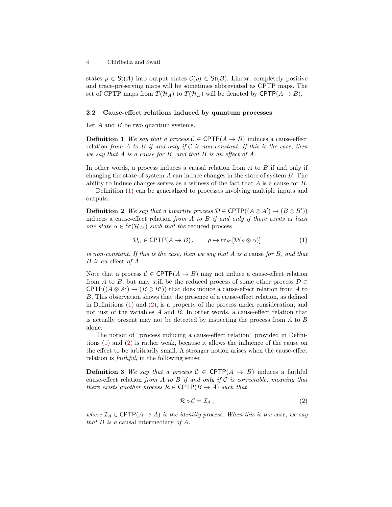states  $\rho \in \mathsf{St}(A)$  into output states  $\mathcal{C}(\rho) \in \mathsf{St}(B)$ . Linear, completely positive and trace-preserving maps will be sometimes abbreviated as CPTP maps. The set of CPTP maps from  $T(\mathcal{H}_A)$  to  $T(\mathcal{H}_B)$  will be denoted by CPTP $(A \rightarrow B)$ .

#### 2.2 Cause-effect relations induced by quantum processes

<span id="page-3-0"></span>Let  $A$  and  $B$  be two quantum systems.

**Definition 1** We say that a process  $C \in \text{CPTP}(A \rightarrow B)$  induces a cause-effect relation from A to B if and only if C is non-constant. If this is the case, then we say that A is a cause for B, and that B is an effect of A.

In other words, a process induces a causal relation from  $A$  to  $B$  if and only if changing the state of system  $A$  can induce changes in the state of system  $B$ . The ability to induce changes serves as a witness of the fact that A is a cause for B.

<span id="page-3-1"></span>Definition [\(1\)](#page-3-0) can be generalized to processes involving multiple inputs and outputs.

**Definition 2** We say that a bipartite process  $\mathcal{D} \in \text{CPTP}((A \otimes A') \rightarrow (B \otimes B'))$ induces a cause-effect relation from  $A$  to  $B$  if and only if there exists at least one state  $\alpha \in \mathsf{St}(\mathcal{H}_{A'})$  such that the reduced process

$$
\mathcal{D}_{\alpha} \in \text{CPTP}(A \to B), \qquad \rho \mapsto \text{tr}_{B'}[\mathcal{D}(\rho \otimes \alpha)] \tag{1}
$$

is non-constant. If this is the case, then we say that A is a cause for B, and that B is an effect of A.

Note that a process  $\mathcal{C} \in \text{CPTP}(A \to B)$  may not induce a cause-effect relation from A to B, but may still be the reduced process of some other process  $D \in$  $\text{CPTP}((A \otimes A') \rightarrow (B \otimes B'))$  that does induce a cause-effect relation from A to B. This observation shows that the presence of a cause-effect relation, as defined in Definitions [\(1\)](#page-3-0) and [\(2\)](#page-3-1), is a property of the process under consideration, and not just of the variables A and B. In other words, a cause-effect relation that is actually present may not be detected by inspecting the process from A to B alone.

The notion of "process inducing a cause-effect relation" provided in Definitions [\(1\)](#page-3-0) and [\(2\)](#page-3-1) is rather weak, because it allows the influence of the cause on the effect to be arbitrarily small. A stronger notion arises when the cause-effect relation is faithful, in the following sense:

**Definition 3** We say that a process  $C \in \text{CPTP}(A \rightarrow B)$  induces a faithful cause-effect relation from A to B if and only if C is correctable, meaning that there exists another process  $\mathcal{R} \in \text{CPTP}(B \to A)$  such that

$$
\mathcal{R} \circ \mathcal{C} = \mathcal{I}_A \,,\tag{2}
$$

where  $\mathcal{I}_A \in \text{CPTP}(A \to A)$  is the identity process. When this is the case, we say that  $B$  is a causal intermediary of  $A$ .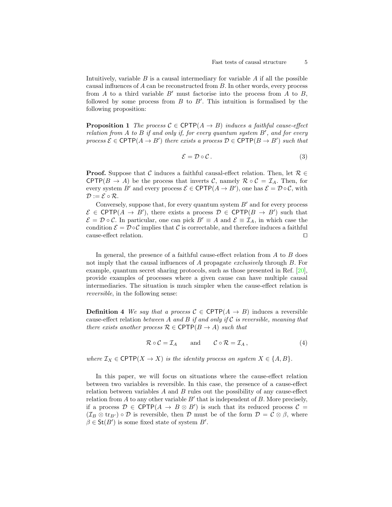Intuitively, variable  $B$  is a causal intermediary for variable  $A$  if all the possible causal influences of A can be reconstructed from B. In other words, every process from A to a third variable  $B'$  must factorise into the process from A to B, followed by some process from  $B$  to  $B'$ . This intuition is formalised by the following proposition:

**Proposition 1** The process  $C \in \text{CPTP}(A \rightarrow B)$  induces a faithful cause-effect relation from  $A$  to  $B$  if and only if, for every quantum system  $B'$ , and for every process  $\mathcal{E} \in \text{CPTP}(A \to B')$  there exists a process  $\mathcal{D} \in \text{CPTP}(B \to B')$  such that

$$
\mathcal{E} = \mathcal{D} \circ \mathcal{C} \,. \tag{3}
$$

**Proof.** Suppose that C induces a faithful causal-effect relation. Then, let  $\mathcal{R} \in$ CPTP( $B \to A$ ) be the process that inverts C, namely  $\mathcal{R} \circ C = \mathcal{I}_A$ . Then, for every system B' and every process  $\mathcal{E} \in \text{CPTP}(A \to B')$ , one has  $\mathcal{E} = \mathcal{D} \circ \mathcal{C}$ , with  $\mathcal{D} := \mathcal{E} \circ \mathcal{R}.$ 

Conversely, suppose that, for every quantum system  $B'$  and for every process  $\mathcal{E} \in \text{CPTP}(A \to B')$ , there exists a process  $\mathcal{D} \in \text{CPTP}(B \to B')$  such that  $\mathcal{E} = \mathcal{D} \circ \mathcal{C}$ . In particular, one can pick  $B' \equiv A$  and  $\mathcal{E} \equiv \mathcal{I}_A$ , in which case the condition  $\mathcal{E} = \mathcal{D} \circ \mathcal{C}$  implies that C is correctable, and therefore induces a faithful cause-effect relation.  $\Box$ 

In general, the presence of a faithful cause-effect relation from A to B does not imply that the causal influences of A propagate exclusively through B. For example, quantum secret sharing protocols, such as those presented in Ref. [\[20\]](#page-14-12), provide examples of processes where a given cause can have multiple causal intermediaries. The situation is much simpler when the cause-effect relation is reversible, in the following sense:

**Definition 4** We say that a process  $C \in \text{CPTP}(A \rightarrow B)$  induces a reversible cause-effect relation between A and B if and only if C is reversible, meaning that there exists another process  $\mathcal{R} \in \text{CPTP}(B \to A)$  such that

$$
\mathcal{R} \circ \mathcal{C} = \mathcal{I}_A \quad \text{and} \quad \mathcal{C} \circ \mathcal{R} = \mathcal{I}_A, \tag{4}
$$

where  $\mathcal{I}_X \in \text{CPTP}(X \to X)$  is the identity process on system  $X \in \{A, B\}.$ 

In this paper, we will focus on situations where the cause-effect relation between two variables is reversible. In this case, the presence of a cause-effect relation between variables  $A$  and  $B$  rules out the possibility of any cause-effect relation from  $A$  to any other variable  $B'$  that is independent of  $B$ . More precisely, if a process  $\mathcal{D} \in \text{CPTP}(A \to B \otimes B')$  is such that its reduced process  $\mathcal{C} =$  $(\mathcal{I}_B \otimes \text{tr}_{B'}) \circ \mathcal{D}$  is reversible, then  $\mathcal{D}$  must be of the form  $\mathcal{D} = \mathcal{C} \otimes \beta$ , where  $\beta \in \mathsf{St}(B')$  is some fixed state of system  $B'$ .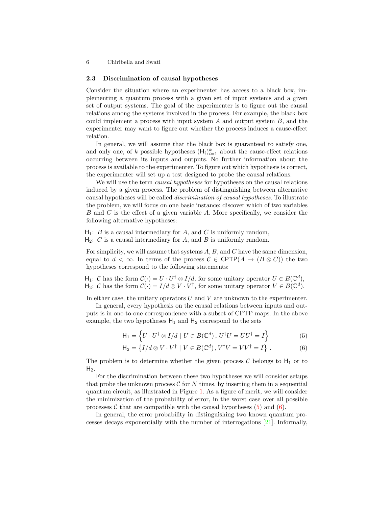# <span id="page-5-2"></span>2.3 Discrimination of causal hypotheses

Consider the situation where an experimenter has access to a black box, implementing a quantum process with a given set of input systems and a given set of output systems. The goal of the experimenter is to figure out the causal relations among the systems involved in the process. For example, the black box could implement a process with input system  $A$  and output system  $B$ , and the experimenter may want to figure out whether the process induces a cause-effect relation.

In general, we will assume that the black box is guaranteed to satisfy one, and only one, of k possible hypotheses  $(H_i)_{i=1}^k$  about the cause-effect relations occurring between its inputs and outputs. No further information about the process is available to the experimenter. To figure out which hypothesis is correct, the experimenter will set up a test designed to probe the causal relations.

We will use the term *causal hypotheses* for hypotheses on the causal relations induced by a given process. The problem of distinguishing between alternative causal hypotheses will be called discrimination of causal hypotheses. To illustrate the problem, we will focus on one basic instance: discover which of two variables B and C is the effect of a given variable A. More specifically, we consider the following alternative hypotheses:

 $H_1$ : B is a causal intermediary for A, and C is uniformly random,

 $H_2$ : C is a causal intermediary for A, and B is uniformly random.

For simplicity, we will assume that systems  $A, B$ , and  $C$  have the same dimension, equal to  $d < \infty$ . In terms of the process  $C \in \text{CPTP}(A \to (B \otimes C))$  the two hypotheses correspond to the following statements:

 $H_1: C$  has the form  $C(\cdot) = U \cdot U^{\dagger} \otimes I/d$ , for some unitary operator  $U \in B(\mathbb{C}^d)$ ,  $H_2$ : C has the form  $\mathcal{C}(\cdot) = I/d \otimes V \cdot V^{\dagger}$ , for some unitary operator  $V \in B(\mathbb{C}^d)$ .

In either case, the unitary operators  $U$  and  $V$  are unknown to the experimenter.

In general, every hypothesis on the causal relations between inputs and outputs is in one-to-one correspondence with a subset of CPTP maps. In the above example, the two hypotheses  $H_1$  and  $H_2$  correspond to the sets

<span id="page-5-1"></span><span id="page-5-0"></span>
$$
\mathsf{H}_1 = \left\{ U \cdot U^{\dagger} \otimes I/d \mid U \in B(\mathbb{C}^d), \, U^{\dagger} U = U U^{\dagger} = I \right\} \tag{5}
$$

$$
\mathsf{H}_2 = \left\{ I/d \otimes V \cdot V^{\dagger} \mid V \in B(\mathbb{C}^d), V^{\dagger}V = VV^{\dagger} = I \right\}. \tag{6}
$$

The problem is to determine whether the given process  $\mathcal C$  belongs to  $H_1$  or to  $H<sub>2</sub>$ .

For the discrimination between these two hypotheses we will consider setups that probe the unknown process  $\mathcal C$  for  $N$  times, by inserting them in a sequential quantum circuit, as illustrated in Figure [1.](#page-6-1) As a figure of merit, we will consider the minimization of the probability of error, in the worst case over all possible processes C that are compatible with the causal hypotheses  $(5)$  and  $(6)$ .

In general, the error probability in distinguishing two known quantum processes decays exponentially with the number of interrogations [\[21\]](#page-14-13). Informally,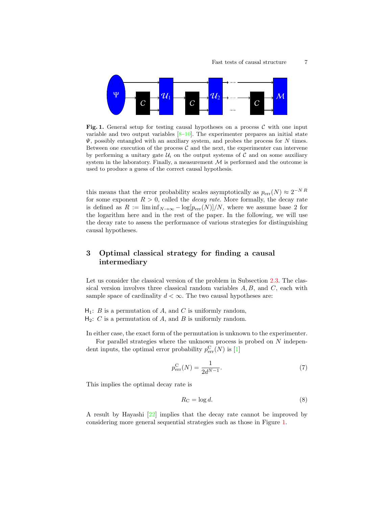

<span id="page-6-1"></span>Fig. 1. General setup for testing causal hypotheses on a process  $\mathcal C$  with one input variable and two output variables  $[8-10]$  $[8-10]$ . The experimenter prepares an initial state  $\Psi$ , possibly entangled with an auxiliary system, and probes the process for  $N$  times. Between one execution of the process  $\mathcal C$  and the next, the experimenter can intervene by performing a unitary gate  $\mathcal{U}_i$  on the output systems of C and on some auxiliary system in the laboratory. Finally, a measurement  $\mathcal M$  is performed and the outcome is used to produce a guess of the correct causal hypothesis.

this means that the error probability scales asymptotically as  $p_{\text{err}}(N) \approx 2^{-NR}$ for some exponent  $R > 0$ , called the *decay rate*. More formally, the decay rate is defined as  $R := \liminf_{N \to \infty} -\log[p_{err}(N)]/N$ , where we assume base 2 for the logarithm here and in the rest of the paper. In the following, we will use the decay rate to assess the performance of various strategies for distinguishing causal hypotheses.

# <span id="page-6-0"></span>3 Optimal classical strategy for finding a causal intermediary

Let us consider the classical version of the problem in Subsection [2.3.](#page-5-2) The classical version involves three classical random variables  $A, B$ , and  $C$ , each with sample space of cardinality  $d < \infty$ . The two causal hypotheses are:

 $H_1: B$  is a permutation of A, and C is uniformly random,  $H_2$ : C is a permutation of A, and B is uniformly random.

In either case, the exact form of the permutation is unknown to the experimenter.

For parallel strategies where the unknown process is probed on N independent inputs, the optimal error probability  $p_{\text{err}}^{\text{C}}(N)$  is [\[1\]](#page-13-0)

$$
p_{\text{err}}^{\text{C}}(N) = \frac{1}{2d^{N-1}}.\tag{7}
$$

This implies the optimal decay rate is

<span id="page-6-2"></span>
$$
R_{\rm C} = \log d. \tag{8}
$$

A result by Hayashi [\[22\]](#page-14-14) implies that the decay rate cannot be improved by considering more general sequential strategies such as those in Figure [1.](#page-6-1)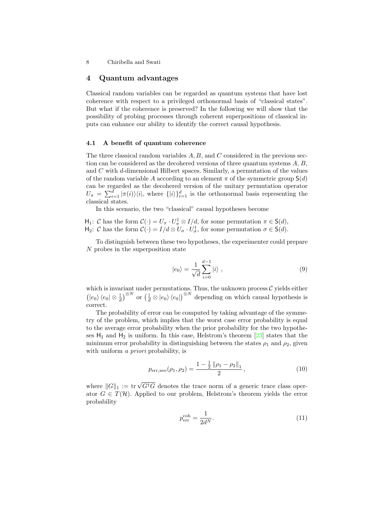# <span id="page-7-0"></span>4 Quantum advantages

Classical random variables can be regarded as quantum systems that have lost coherence with respect to a privileged orthonormal basis of "classical states". But what if the coherence is preserved? In the following we will show that the possibility of probing processes through coherent superpositions of classical inputs can enhance our ability to identify the correct causal hypothesis.

#### 4.1 A benefit of quantum coherence

The three classical random variables  $A, B$ , and  $C$  considered in the previous section can be considered as the decohered versions of three quantum systems  $A, B$ , and C with d-dimensional Hilbert spaces. Similarly, a permutation of the values of the random variable A according to an element  $\pi$  of the symmetric group  $S(d)$ can be regarded as the decohered version of the unitary permutation operator  $U_{\pi} = \sum_{i=1}^{d} |\pi(i)\rangle\langle i|$ , where  $\{|i\rangle\}_{i=1}^{d}$  is the orthonormal basis representing the classical states.

In this scenario, the two "classical" causal hypotheses become

 $H_1$ : C has the form  $C(\cdot) = U_{\pi} \cdot U_{\pi}^{\dagger} \otimes I/d$ , for some permutation  $\pi \in S(d)$ ,  $H_2$ : C has the form  $C(\cdot) = I/d \otimes U_{\sigma} \cdot U_{\sigma}^{\dagger}$ , for some permutation  $\sigma \in S(d)$ .

To distinguish between these two hypotheses, the experimenter could prepare N probes in the superposition state

$$
|e_0\rangle = \frac{1}{\sqrt{d}} \sum_{i=0}^{d-1} |i\rangle , \qquad (9)
$$

which is invariant under permutations. Thus, the unknown process  $\mathcal C$  yields either  $\left(\ket{e_0}\bra{e_0}\otimes\frac{\mathbb{I}}{d}\right)^{\otimes N}$  or  $\left(\frac{\mathbb{I}}{d}\otimes\ket{e_0}\bra{e_0}\right)^{\otimes N}$  depending on which causal hypothesis is correct.

The probability of error can be computed by taking advantage of the symmetry of the problem, which implies that the worst case error probability is equal to the average error probability when the prior probability for the two hypotheses  $H_1$  and  $H_2$  is uniform. In this case, Helstrom's theorem [\[23\]](#page-14-15) states that the minimum error probability in distinguishing between the states  $\rho_1$  and  $\rho_2$ , given with uniform *a priori* probability, is

$$
p_{\text{err},\text{ave}}(\rho_1, \rho_2) = \frac{1 - \frac{1}{2} \left\| \rho_1 - \rho_2 \right\|_1}{2},\tag{10}
$$

where  $||G||_1 := \text{tr} \sqrt{G^{\dagger}G}$  denotes the trace norm of a generic trace class operator  $G \in T(\mathcal{H})$ . Applied to our problem, Helstrom's theorem yields the error probability

<span id="page-7-1"></span>
$$
p_{\text{err}}^{\text{coh}} = \frac{1}{2d^N}.\tag{11}
$$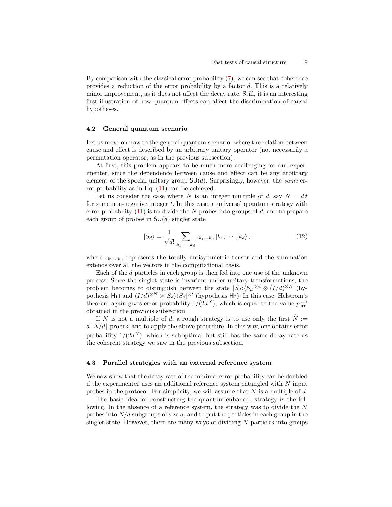By comparison with the classical error probability [\(7\)](#page-6-2), we can see that coherence provides a reduction of the error probability by a factor d. This is a relatively minor improvement, as it does not affect the decay rate. Still, it is an interesting first illustration of how quantum effects can affect the discrimination of causal hypotheses.

#### <span id="page-8-0"></span>4.2 General quantum scenario

Let us move on now to the general quantum scenario, where the relation between cause and effect is described by an arbitrary unitary operator (not necessarily a permutation operator, as in the previous subsection).

At first, this problem appears to be much more challenging for our experimenter, since the dependence between cause and effect can be any arbitrary element of the special unitary group  $SU(d)$ . Surprisingly, however, the same error probability as in Eq. [\(11\)](#page-7-1) can be achieved.

Let us consider the case where N is an integer multiple of d, say  $N = dt$ for some non-negative integer  $t$ . In this case, a universal quantum strategy with error probability  $(11)$  is to divide the N probes into groups of d, and to prepare each group of probes in  $SU(d)$  singlet state

$$
|S_d\rangle = \frac{1}{\sqrt{d!}} \sum_{k_1,\cdots,k_d} \epsilon_{k_1\cdots k_d} |k_1,\cdots,k_d\rangle, \qquad (12)
$$

where  $\epsilon_{k_1\cdots k_d}$  represents the totally antisymmetric tensor and the summation extends over all the vectors in the computational basis.

Each of the d particles in each group is then fed into one use of the unknown process. Since the singlet state is invariant under unitary transformations, the problem becomes to distinguish between the state  $|S_d\rangle\langle S_d|^{\otimes t} \otimes (I/d)^{\otimes N}$  (hypothesis  $H_1$ ) and  $(I/d)^{\otimes N} \otimes |S_d\rangle\langle S_d|^{\otimes t}$  (hypothesis  $H_2$ ). In this case, Helstrom's theorem again gives error probability  $1/(2d^N)$ , which is equal to the value  $p_{\text{err}}^{\text{coh}}$ obtained in the previous subsection.

If N is not a multiple of d, a rough strategy is to use only the first  $\widetilde{N}$  :=  $d |N/d|$  probes, and to apply the above procedure. In this way, one obtains error probability  $1/(2d^N)$ , which is suboptimal but still has the same decay rate as the coherent strategy we saw in the previous subsection.

#### <span id="page-8-1"></span>4.3 Parallel strategies with an external reference system

We now show that the decay rate of the minimal error probability can be doubled if the experimenter uses an additional reference system entangled with  $N$  input probes in the protocol. For simplicity, we will assume that  $N$  is a multiple of  $d$ .

The basic idea for constructing the quantum-enhanced strategy is the following. In the absence of a reference system, the strategy was to divide the N probes into  $N/d$  subgroups of size d, and to put the particles in each group in the singlet state. However, there are many ways of dividing  $N$  particles into groups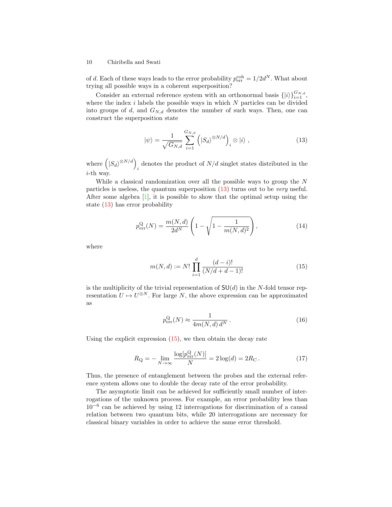of d. Each of these ways leads to the error probability  $p_{\text{err}}^{\text{coh}} = 1/2d^N$ . What about trying all possible ways in a coherent superposition?

Consider an external reference system with an orthonormal basis  $\{|i\rangle\}_{i=1}^{G_{N,d}}$ , where the index  $i$  labels the possible ways in which  $N$  particles can be divided into groups of  $d$ , and  $G_{N,d}$  denotes the number of such ways. Then, one can construct the superposition state

<span id="page-9-0"></span>
$$
|\psi\rangle = \frac{1}{\sqrt{G_{N,d}}} \sum_{i=1}^{G_{N,d}} \left( |S_d\rangle^{\otimes N/d} \right)_i \otimes |i\rangle , \qquad (13)
$$

where  $\left( \ket{S_d}^{\otimes N/d} \right)$ denotes the product of  $N/d$  singlet states distributed in the i-th way.

While a classical randomization over all the possible ways to group the N particles is useless, the quantum superposition  $(13)$  turns out to be *very* useful. After some algebra [\[1\]](#page-13-0), it is possible to show that the optimal setup using the state [\(13\)](#page-9-0) has error probability

$$
p_{\text{err}}^{\text{Q}}(N) = \frac{m(N,d)}{2d^N} \left(1 - \sqrt{1 - \frac{1}{m(N,d)^2}}\right),\tag{14}
$$

where

$$
m(N,d) := N! \prod_{i=1}^{d} \frac{(d-i)!}{(N/d+d-1)!}
$$
 (15)

is the multiplicity of the trivial representation of  $SU(d)$  in the N-fold tensor representation  $U \mapsto U^{\otimes N}$ . For large N, the above expression can be approximated as

<span id="page-9-1"></span>
$$
p_{\text{err}}^{\text{Q}}(N) \approx \frac{1}{4m(N,d)\,d^N} \,. \tag{16}
$$

Using the explicit expression  $(15)$ , we then obtain the decay rate

$$
R_{\rm Q} = -\lim_{N \to \infty} \frac{\log[p_{\rm err}^{\rm Q}(N)]}{N} = 2\log(d) = 2R_{\rm C} \,. \tag{17}
$$

Thus, the presence of entanglement between the probes and the external reference system allows one to double the decay rate of the error probability.

The asymptotic limit can be achieved for sufficiently small number of interrogations of the unknown process. For example, an error probability less than 10<sup>−</sup><sup>6</sup> can be achieved by using 12 interrogations for discrimination of a causal relation between two quantum bits, while 20 interrogations are necessary for classical binary variables in order to achieve the same error threshold.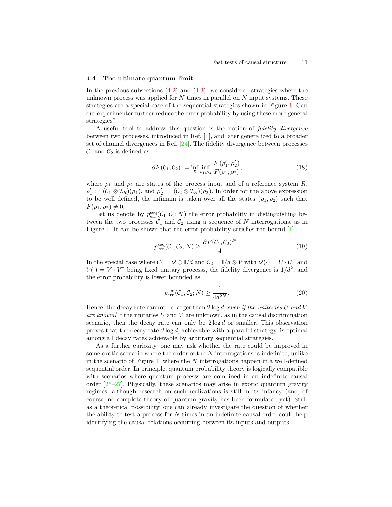#### 4.4 The ultimate quantum limit

In the previous subsections  $(4.2)$  and  $(4.3)$ , we considered strategies where the unknown process was applied for  $N$  times in parallel on  $N$  input systems. These strategies are a special case of the sequential strategies shown in Figure [1.](#page-6-1) Can our experimenter further reduce the error probability by using these more general strategies?

A useful tool to address this question is the notion of fidelity divergence between two processes, introduced in Ref. [\[1\]](#page-13-0), and later generalized to a broader set of channel divergences in Ref. [\[24\]](#page-14-16). The fidelity divergence between processes  $\mathcal{C}_1$  and  $\mathcal{C}_2$  is defined as

$$
\partial F(C_1, C_2) := \inf_R \inf_{\rho_1, \rho_2} \frac{F(\rho'_1, \rho'_2)}{F(\rho_1, \rho_2)},
$$
\n(18)

where  $\rho_1$  and  $\rho_2$  are states of the process input and of a reference system R,  $\rho'_1 := (\mathcal{C}_1 \otimes \mathcal{I}_R)(\rho_1)$ , and  $\rho'_2 := (\mathcal{C}_2 \otimes \mathcal{I}_R)(\rho_2)$ . In order for the above expression to be well defined, the infimum is taken over all the states  $(\rho_1, \rho_2)$  such that  $F(\rho_1, \rho_2) \neq 0.$ 

Let us denote by  $p_{\text{err}}^{\text{seq}}(\mathcal{C}_1, \mathcal{C}_2; N)$  the error probability in distinguishing between the two processes  $C_1$  and  $C_2$  using a sequence of N interrogations, as in Figure [1.](#page-6-1) It can be shown that the error probability satisfies the bound [\[1\]](#page-13-0)

$$
p_{\text{err}}^{\text{seq}}(\mathcal{C}_1, \mathcal{C}_2; N) \ge \frac{\partial F(\mathcal{C}_1, \mathcal{C}_2)^N}{4}.
$$
 (19)

In the special case where  $C_1 = \mathcal{U} \otimes \mathbb{I}/d$  and  $C_2 = \mathbb{I}/d \otimes \mathcal{V}$  with  $\mathcal{U}(\cdot) = U \cdot U^{\dagger}$  and  $V(\cdot) = V \cdot V^{\dagger}$  being fixed unitary processs, the fidelity divergence is  $1/d^2$ , and the error probability is lower bounded as

$$
p_{\text{err}}^{\text{seq}}(\mathcal{C}_1, \mathcal{C}_2; N) \ge \frac{1}{4d^{2N}}.\tag{20}
$$

Hence, the decay rate cannot be larger than  $2 \log d$ , even if the unitaries U and V are known! If the unitaries U and V are unknown, as in the causal discrimination scenario, then the decay rate can only be  $2 \log d$  or smaller. This observation proves that the decay rate  $2 \log d$ , achievable with a parallel strategy, is optimal among all decay rates achievable by arbitrary sequential strategies.

As a further curiosity, one may ask whether the rate could be improved in some exotic scenario where the order of the N interrogations is indefinite, unlike in the scenario of Figure [1,](#page-6-1) where the  $N$  interrogations happen in a well-defined sequential order. In principle, quantum probability theory is logically compatible with scenarios where quantum processs are combined in an indefinite causal order [\[25](#page-14-17)[–27\]](#page-14-18). Physically, these scenarios may arise in exotic quantum gravity regimes, although research on such realizations is still in its infancy (and, of course, no complete theory of quantum gravity has been formulated yet). Still, as a theoretical possibility, one can already investigate the question of whether the ability to test a process for  $N$  times in an indefinite causal order could help identifying the causal relations occurring between its inputs and outputs.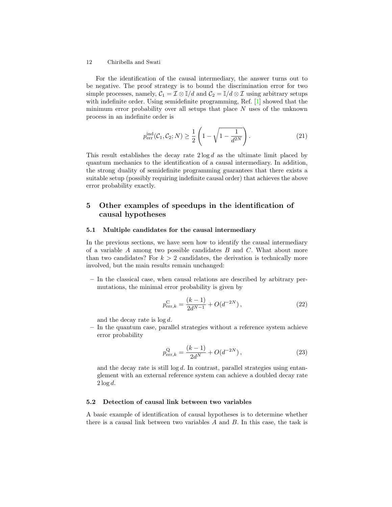For the identification of the causal intermediary, the answer turns out to be negative. The proof strategy is to bound the discrimination error for two simple processes, namely,  $C_1 = \mathcal{I} \otimes \mathcal{I}/d$  and  $C_2 = \mathcal{I}/d \otimes \mathcal{I}$  using arbitrary setups with indefinite order. Using semidefinite programming, Ref. [\[1\]](#page-13-0) showed that the minimum error probability over all setups that place  $N$  uses of the unknown process in an indefinite order is

$$
p_{\text{err}}^{\text{ind}}(\mathcal{C}_1, \mathcal{C}_2; N) \ge \frac{1}{2} \left( 1 - \sqrt{1 - \frac{1}{d^{2N}}} \right). \tag{21}
$$

This result establishes the decay rate  $2 \log d$  as the ultimate limit placed by quantum mechanics to the identification of a causal intermediary. In addition, the strong duality of semidefinite programming guarantees that there exists a suitable setup (possibly requiring indefinite causal order) that achieves the above error probability exactly.

# <span id="page-11-0"></span>5 Other examples of speedups in the identification of causal hypotheses

### 5.1 Multiple candidates for the causal intermediary

In the previous sections, we have seen how to identify the causal intermediary of a variable  $A$  among two possible candidates  $B$  and  $C$ . What about more than two candidates? For  $k > 2$  candidates, the derivation is technically more involved, but the main results remain unchanged:

– In the classical case, when causal relations are described by arbitrary permutations, the minimal error probability is given by

$$
p_{\text{err},k}^{\text{C}} = \frac{(k-1)}{2d^{N-1}} + O(d^{-2N}),
$$
\n(22)

and the decay rate is log d.

– In the quantum case, parallel strategies without a reference system achieve error probability

$$
p_{\text{err},k}^{\text{Q}} = \frac{(k-1)}{2d^N} + O(d^{-2N}),
$$
\n(23)

and the decay rate is still  $log d$ . In contrast, parallel strategies using entanglement with an external reference system can achieve a doubled decay rate  $2 \log d$ .

## 5.2 Detection of causal link between two variables

A basic example of identification of causal hypotheses is to determine whether there is a causal link between two variables  $A$  and  $B$ . In this case, the task is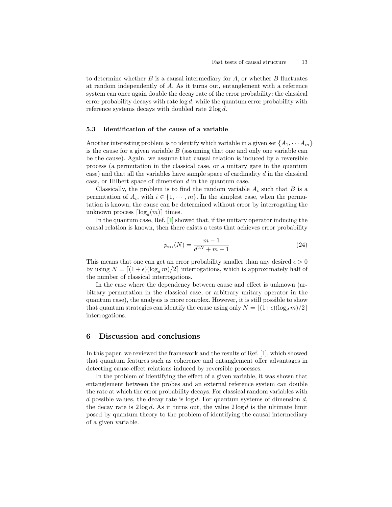to determine whether  $B$  is a causal intermediary for  $A$ , or whether  $B$  fluctuates at random independently of A. As it turns out, entanglement with a reference system can once again double the decay rate of the error probability: the classical error probability decays with rate  $log d$ , while the quantum error probability with reference systems decays with doubled rate 2 log d.

## 5.3 Identification of the cause of a variable

Another interesting problem is to identify which variable in a given set  $\{A_1, \dots, A_m\}$ is the cause for a given variable  $B$  (assuming that one and only one variable can be the cause). Again, we assume that causal relation is induced by a reversible process (a permutation in the classical case, or a unitary gate in the quantum case) and that all the variables have sample space of cardinality  $d$  in the classical case, or Hilbert space of dimension d in the quantum case.

Classically, the problem is to find the random variable  $A_i$  such that  $B$  is a permutation of  $A_i$ , with  $i \in \{1, \dots, m\}$ . In the simplest case, when the permutation is known, the cause can be determined without error by interrogating the unknown process  $\lceil \log_d(m) \rceil$  times.

In the quantum case, Ref. [\[1\]](#page-13-0) showed that, if the unitary operator inducing the causal relation is known, then there exists a tests that achieves error probability

$$
p_{\text{err}}(N) = \frac{m-1}{d^{2N} + m - 1} \tag{24}
$$

This means that one can get an error probability smaller than any desired  $\epsilon > 0$ by using  $N = \left[\frac{(1 + \epsilon)(\log_d m)}{2}\right]$  interrogations, which is approximately half of the number of classical interrogations.

In the case where the dependency between cause and effect is unknown (arbitrary permutation in the classical case, or arbitrary unitary operator in the quantum case), the analysis is more complex. However, it is still possible to show that quantum strategies can identify the cause using only  $N = \frac{\left[ (1+\epsilon)(\log_d m)/2 \right]}{2\pi}$ interrogations.

# <span id="page-12-0"></span>6 Discussion and conclusions

In this paper, we reviewed the framework and the results of Ref. [\[1\]](#page-13-0), which showed that quantum features such as coherence and entanglement offer advantages in detecting cause-effect relations induced by reversible processes.

In the problem of identifying the effect of a given variable, it was shown that entanglement between the probes and an external reference system can double the rate at which the error probability decays. For classical random variables with d possible values, the decay rate is  $log d$ . For quantum systems of dimension  $d$ , the decay rate is  $2 \log d$ . As it turns out, the value  $2 \log d$  is the ultimate limit posed by quantum theory to the problem of identifying the causal intermediary of a given variable.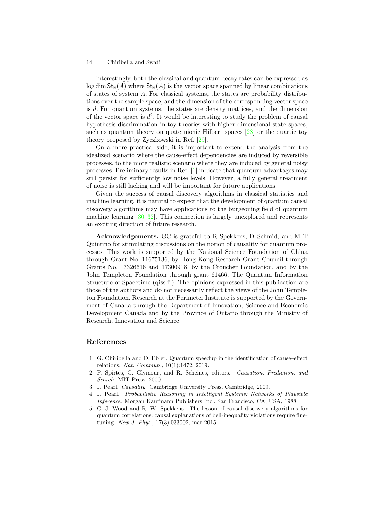Interestingly, both the classical and quantum decay rates can be expressed as  $\log \dim \mathsf{St}_{\mathbb{R}}(A)$  where  $\mathsf{St}_{\mathbb{R}}(A)$  is the vector space spanned by linear combinations of states of system A. For classical systems, the states are probability distributions over the sample space, and the dimension of the corresponding vector space is d. For quantum systems, the states are density matrices, and the dimension of the vector space is  $d^2$ . It would be interesting to study the problem of causal hypothesis discrimination in toy theories with higher dimensional state spaces, such as quantum theory on quaternionic Hilbert spaces [\[28\]](#page-15-0) or the quartic toy theory proposed by Zyczkowski in Ref.  $[29]$  $[29]$ .

On a more practical side, it is important to extend the analysis from the idealized scenario where the cause-effect dependencies are induced by reversible processes, to the more realistic scenario where they are induced by general noisy processes. Preliminary results in Ref. [\[1\]](#page-13-0) indicate that quantum advantages may still persist for sufficiently low noise levels. However, a fully general treatment of noise is still lacking and will be important for future applications.

Given the success of causal discovery algorithms in classical statistics and machine learning, it is natural to expect that the development of quantum causal discovery algorithms may have applications to the burgeoning field of quantum machine learning [\[30](#page-15-2)[–32\]](#page-15-3). This connection is largely unexplored and represents an exciting direction of future research.

Acknowledgements. GC is grateful to R Spekkens, D Schmid, and M T Quintino for stimulating discussions on the notion of causality for quantum processes. This work is supported by the National Science Foundation of China through Grant No. 11675136, by Hong Kong Research Grant Council through Grants No. 17326616 and 17300918, by the Croucher Foundation, and by the John Templeton Foundation through grant 61466, The Quantum Information Structure of Spacetime (qiss.fr). The opinions expressed in this publication are those of the authors and do not necessarily reflect the views of the John Templeton Foundation. Research at the Perimeter Institute is supported by the Government of Canada through the Department of Innovation, Science and Economic Development Canada and by the Province of Ontario through the Ministry of Research, Innovation and Science.

# References

- <span id="page-13-0"></span>1. G. Chiribella and D. Ebler. Quantum speedup in the identification of cause–effect relations. Nat. Commun., 10(1):1472, 2019.
- <span id="page-13-1"></span>2. P. Spirtes, C. Glymour, and R. Scheines, editors. Causation, Prediction, and Search. MIT Press, 2000.
- 3. J. Pearl. Causality. Cambridge University Press, Cambridge, 2009.
- <span id="page-13-2"></span>4. J. Pearl. Probabilistic Reasoning in Intelligent Systems: Networks of Plausible Inference. Morgan Kaufmann Publishers Inc., San Francisco, CA, USA, 1988.
- <span id="page-13-3"></span>5. C. J. Wood and R. W. Spekkens. The lesson of causal discovery algorithms for quantum correlations: causal explanations of bell-inequality violations require finetuning. New J. Phys., 17(3):033002, mar 2015.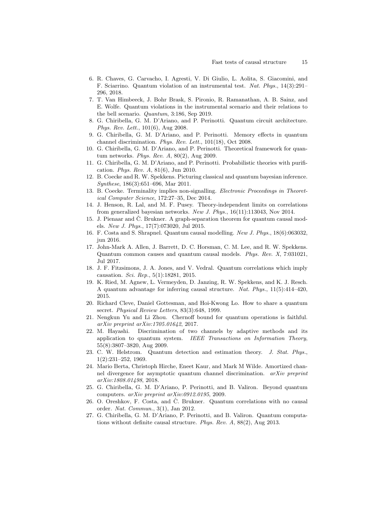- <span id="page-14-0"></span>6. R. Chaves, G. Carvacho, I. Agresti, V. Di Giulio, L. Aolita, S. Giacomini, and F. Sciarrino. Quantum violation of an instrumental test. Nat. Phys., 14(3):291– 296, 2018.
- <span id="page-14-1"></span>7. T. Van Himbeeck, J. Bohr Brask, S. Pironio, R. Ramanathan, A. B. Sainz, and E. Wolfe. Quantum violations in the instrumental scenario and their relations to the bell scenario. Quantum, 3:186, Sep 2019.
- <span id="page-14-2"></span>8. G. Chiribella, G. M. D'Ariano, and P. Perinotti. Quantum circuit architecture. Phys. Rev. Lett., 101(6), Aug 2008.
- 9. G. Chiribella, G. M. D'Ariano, and P. Perinotti. Memory effects in quantum channel discrimination. Phys. Rev. Lett., 101(18), Oct 2008.
- <span id="page-14-3"></span>10. G. Chiribella, G. M. D'Ariano, and P. Perinotti. Theoretical framework for quantum networks. Phys. Rev. A, 80(2), Aug 2009.
- <span id="page-14-4"></span>11. G. Chiribella, G. M. D'Ariano, and P. Perinotti. Probabilistic theories with purification. Phys. Rev. A, 81(6), Jun 2010.
- <span id="page-14-5"></span>12. B. Coecke and R. W. Spekkens. Picturing classical and quantum bayesian inference. Synthese, 186(3):651–696, Mar 2011.
- <span id="page-14-6"></span>13. B. Coecke. Terminality implies non-signalling. Electronic Proceedings in Theoretical Computer Science, 172:27–35, Dec 2014.
- <span id="page-14-7"></span>14. J. Henson, R. Lal, and M. F. Pusey. Theory-independent limits on correlations from generalized bayesian networks. New J. Phys., 16(11):113043, Nov 2014.
- 15. J. Pienaar and  $\check{C}$ . Brukner. A graph-separation theorem for quantum causal models. New J. Phys., 17(7):073020, Jul 2015.
- <span id="page-14-8"></span>16. F. Costa and S. Shrapnel. Quantum causal modelling. New J. Phys., 18(6):063032, jun 2016.
- <span id="page-14-9"></span>17. John-Mark A. Allen, J. Barrett, D. C. Horsman, C. M. Lee, and R. W. Spekkens. Quantum common causes and quantum causal models. Phys. Rev. X, 7:031021, Jul 2017.
- <span id="page-14-10"></span>18. J. F. Fitzsimons, J. A. Jones, and V. Vedral. Quantum correlations which imply causation. Sci. Rep., 5(1):18281, 2015.
- <span id="page-14-11"></span>19. K. Ried, M. Agnew, L. Vermeyden, D. Janzing, R. W. Spekkens, and K. J. Resch. A quantum advantage for inferring causal structure. Nat. Phys., 11(5):414–420, 2015.
- <span id="page-14-12"></span>20. Richard Cleve, Daniel Gottesman, and Hoi-Kwong Lo. How to share a quantum secret. Physical Review Letters, 83(3):648, 1999.
- <span id="page-14-13"></span>21. Nengkun Yu and Li Zhou. Chernoff bound for quantum operations is faithful. arXiv preprint arXiv:1705.01642, 2017.
- <span id="page-14-14"></span>22. M. Hayashi. Discrimination of two channels by adaptive methods and its application to quantum system. IEEE Transactions on Information Theory, 55(8):3807–3820, Aug 2009.
- <span id="page-14-15"></span>23. C. W. Helstrom. Quantum detection and estimation theory. J. Stat. Phys., 1(2):231–252, 1969.
- <span id="page-14-16"></span>24. Mario Berta, Christoph Hirche, Eneet Kaur, and Mark M Wilde. Amortized channel divergence for asymptotic quantum channel discrimination. arXiv preprint arXiv:1808.01498, 2018.
- <span id="page-14-17"></span>25. G. Chiribella, G. M. D'Ariano, P. Perinotti, and B. Valiron. Beyond quantum computers. arXiv preprint arXiv:0912.0195, 2009.
- 26. O. Oreshkov, F. Costa, and Č. Brukner. Quantum correlations with no causal order. Nat. Commun., 3(1), Jan 2012.
- <span id="page-14-18"></span>27. G. Chiribella, G. M. D'Ariano, P. Perinotti, and B. Valiron. Quantum computations without definite causal structure. Phys. Rev. A, 88(2), Aug 2013.